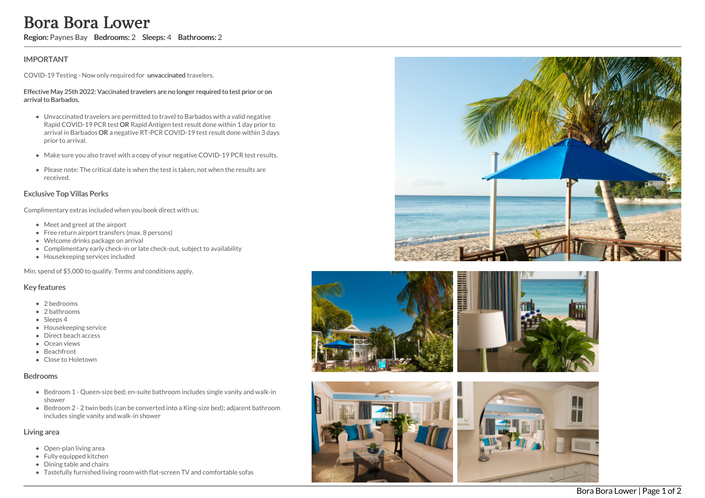# **IMPORTANT**

COVID-19 Testing - Now only required for unvaccinated travelers.

#### Effective May 25th 2022: Vaccinated travelers are no longer required to test prior or on arrival to Barbados.

- Unvaccinated travelers are permitted to travel to Barbados with a valid negative Rapid COVID-19 PCR test OR Rapid Antigen test result done within 1 day prior to arrival in Barbados OR a negative RT-PCR COVID-19 test result done within 3 days prior to arrival. **Excrement Manuary Furnished Living Furnished Living room with flat-screen TV and comfortable sofast and compute the sofast stress and compare required to test prior for the stress and compare required to test prior and th** 
	- Make sure you also travel with a copy of your negative COVID-19 PCR test results.
	- Please note: The critical date is when the test is taken, not when the results are received.

## Exclusive Top Villas Perks

Complimentary extras included when you book direct with us:

- Meet and greet at the airport
- Free return airport transfers (max. 8 persons)
- Welcome drinks package on arrival
- Complimentary early check-in or late check-out, subject to availability
- Housekeeping services included

Min. spend of \$5,000 to qualify. Terms and conditions apply.

## Key features

- 2 bedrooms
- 2 bathrooms
- Sleeps 4
- Housekeeping service
- Direct beach access
- **•** Ocean views
- Beachfront
- Close to Holetown

### Bedrooms

- Bedroom 1 Queen-size bed; en-suite bathroom includes single vanity and walk-in shower
- Bedroom 2 2 twin beds (can be converted into a King-size bed); adjacent bathroom includes single vanity and walk-in shower

## Living area

- Open-plan living area
- Fully equipped kitchen
- Dining table and chairs
-